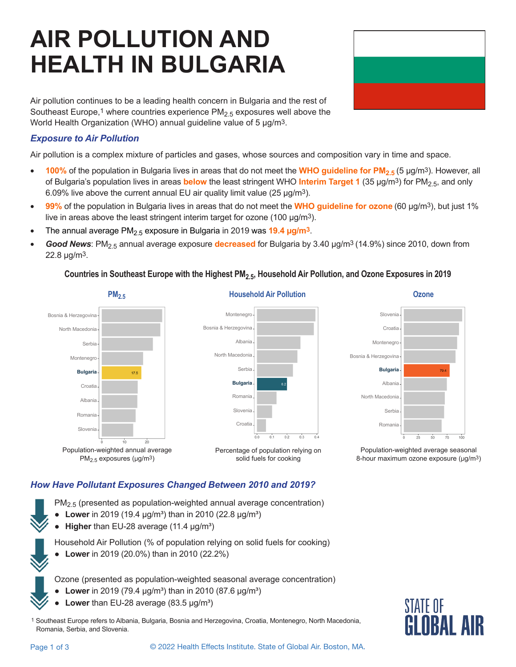# **AIR POLLUTION AND HEALTH IN BULGARIA**

Air pollution continues to be a leading health concern in Bulgaria and the rest of Southeast Europe,<sup>1</sup> where countries experience  $PM<sub>2.5</sub>$  exposures well above the World Health Organization (WHO) annual guideline value of 5 μg/m3.

# *Exposure to Air Pollution*

Air pollution is a complex mixture of particles and gases, whose sources and composition vary in time and space*.* 

- **100%** of the population in Bulgaria lives in areas that do not meet the **WHO guideline for PM<sub>2.5</sub> (5 µg/m<sup>3</sup>). However, all** of Bulgaria's population lives in areas **below** the least stringent WHO **Interim Target 1** (35 µg/m3) for PM2.5, and only 6.09% live above the current annual EU air quality limit value (25  $\mu$ g/m<sup>3</sup>).
- **99%** of the population in Bulgaria lives in areas that do not meet the **WHO quideline for ozone** (60 µg/m<sup>3</sup>), but just 1% live in areas above the least stringent interim target for ozone (100 µg/m3).
- The annual average PM<sub>2.5</sub> exposure in Bulgaria in 2019 was 19.4 µg/m<sup>3</sup>.
- **Good News**: PM<sub>2.5</sub> annual average exposure **decreased** for Bulgaria by 3.40 µg/m<sup>3</sup> (14.9%) since 2010, down from 22.8 µg/m3.

### **Countries in Southeast Europe with the Highest PM2.5, Household Air Pollution, and Ozone Exposures in 2019**



## *How Have Pollutant Exposures Changed Between 2010 and 2019?*

PM2.5 (presented as population-weighted annual average concentration)

- **Lower** in 2019 (19.4  $\mu$ g/m<sup>3</sup>) than in 2010 (22.8  $\mu$ g/m<sup>3</sup>)
- **Higher** than EU-28 average (11.4 µg/m<sup>3</sup>)

Household Air Pollution (% of population relying on solid fuels for cooking)



**Lower** in 2019 (20.0%) than in 2010 (22.2%)

Ozone (presented as population-weighted seasonal average concentration)

- **Lower** in 2019 (79.4  $\mu$ g/m<sup>3</sup>) than in 2010 (87.6  $\mu$ g/m<sup>3</sup>)
- **Lower** than EU-28 average (83.5  $\mu$ g/m<sup>3</sup>)

1 Southeast Europe refers to Albania, Bulgaria, Bosnia and Herzegovina, Croatia, Montenegro, North Macedonia, Romania, Serbia, and Slovenia.



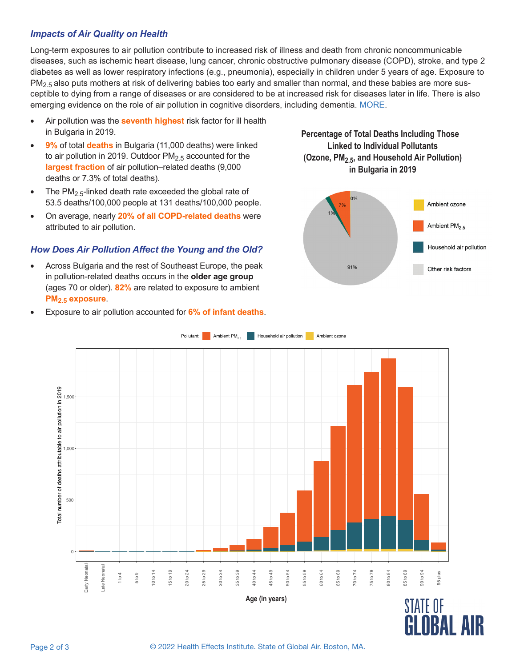#### *Impacts of Air Quality on Health*

Long-term exposures to air pollution contribute to increased risk of illness and death from chronic noncommunicable diseases, such as ischemic heart disease, lung cancer, chronic obstructive pulmonary disease (COPD), stroke, and type 2 diabetes as well as lower respiratory infections (e.g., pneumonia), especially in children under 5 years of age. Exposure to  $PM<sub>2.5</sub>$  also puts mothers at risk of delivering babies too early and smaller than normal, and these babies are more susceptible to dying from a range of diseases or are considered to be at increased risk for diseases later in life. There is also emerging evidence on the role of air pollution in cognitive disorders, including dementia. [MORE.](https://www.stateofglobalair.org/sites/default/files/documents/2020-10/soga-health-effects-factsheet_0.pdf)

- • Air pollution was the **seventh highest** risk factor for ill health in Bulgaria in 2019.
- • **9%** of total **deaths** in Bulgaria (11,000 deaths) were linked to air pollution in 2019. Outdoor  $PM<sub>2.5</sub>$  accounted for the **largest fraction** of air pollution–related deaths (9,000 deaths or 7.3% of total deaths).
- The  $PM_{2.5}$ -linked death rate exceeded the global rate of 53.5 deaths/100,000 people at 131 deaths/100,000 people.
- • On average, nearly **20% of all COPD-related deaths** were attributed to air pollution.

#### *How Does Air Pollution Affect the Young and the Old?*

- Across Bulgaria and the rest of Southeast Europe, the peak in pollution-related deaths occurs in the **older age group** (ages 70 or older). **82%** are related to exposure to ambient **PM2.5 exposure**.
- Exposure to air pollution accounted for 6% of infant deaths.



**Percentage of Total Deaths Including Those Linked to Individual Pollutants**